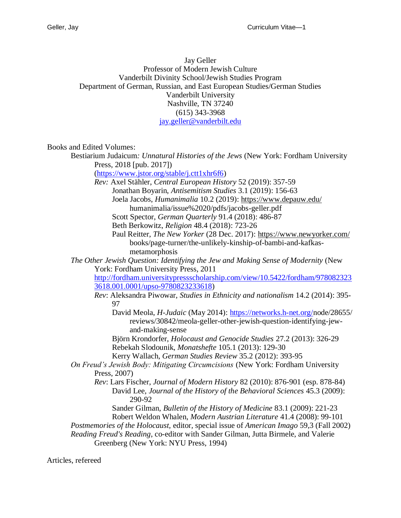Jay Geller Professor of Modern Jewish Culture Vanderbilt Divinity School/Jewish Studies Program Department of German, Russian, and East European Studies/German Studies Vanderbilt University Nashville, TN 37240 (615) 343-3968 [jay.geller@vanderbilt.edu](mailto:jay.geller@vanderbilt.edu)

Books and Edited Volumes:

Bestiarium Judaicum*: Unnatural Histories of the Jews* (New York: Fordham University Press, 2018 [pub. 2017])

[\(https://www.jstor.org/stable/j.ctt1xhr6f6\)](https://www.jstor.org/stable/j.ctt1xhr6f6)

*Rev:* Axel Stähler, *Central European History* 52 (2019): 357-59 Jonathan Boyarin, *Antisemitism Studies* 3.1 (2019): 156-63

Joela Jacobs, *Humanimalia* 10.2 (2019):<https://www.depauw.edu/>

humanimalia/issue%2020/pdfs/jacobs-geller.pdf

Scott Spector, *German Quarterly* 91.4 (2018): 486-87

Beth Berkowitz, *Religion* 48.4 (2018): 723-26

Paul Reitter, *The New Yorker* (28 Dec. 2017):<https://www.newyorker.com/> books/page-turner/the-unlikely-kinship-of-bambi-and-kafkasmetamorphosis

*The Other Jewish Question: Identifying the Jew and Making Sense of Modernity* (New York: Fordham University Press, 2011

[http://fordham.universitypressscholarship.com/view/10.5422/fordham/978082323](http://fordham.universitypressscholarship.com/view/10.5422/fordham/9780823233618.001.0001/upso-9780823233618) [3618.001.0001/upso-9780823233618\)](http://fordham.universitypressscholarship.com/view/10.5422/fordham/9780823233618.001.0001/upso-9780823233618)

*Rev*: Aleksandra Piwowar, *Studies in Ethnicity and nationalism* 14.2 (2014): 395- 97

David Meola, *H-Judaic* (May 2014): [https://networks.h-net.org/n](https://networks.h-net.org/)ode/28655/ reviews/30842/meola-geller-other-jewish-question-identifying-jewand-making-sense

Björn Krondorfer, *Holocaust and Genocide Studies* 27.2 (2013): 326-29 Rebekah Slodounik, *Monatshefte* 105.1 (2013): 129-30

Kerry Wallach, *German Studies Review* 35.2 (2012): 393-95

*On Freud's Jewish Body: Mitigating Circumcisions* (New York: Fordham University Press, 2007)

*Rev*: Lars Fischer, *Journal of Modern History* 82 (2010): 876-901 (esp. 878-84) David Lee, *Journal of the History of the Behavioral Sciences* 45.3 (2009): 290-92

Sander Gilman, *Bulletin of the History of Medicine* 83.1 (2009): 221-23 Robert Weldon Whalen, *Modern Austrian Literature* 41.4 (2008): 99-101

*Postmemories of the Holocaust,* editor*,* special issue of *American Imago* 59,3 (Fall 2002) *Reading Freud's Reading*, co-editor with Sander Gilman, Jutta Birmele, and Valerie

Greenberg (New York: NYU Press, 1994)

Articles, refereed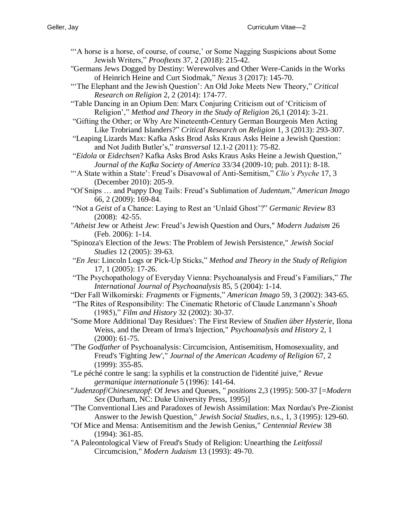- "'A horse is a horse, of course, of course,' or Some Nagging Suspicions about Some Jewish Writers," *Prooftexts* 37, 2 (2018): 215-42.
- "Germans Jews Dogged by Destiny: Werewolves and Other Were-Canids in the Works of Heinrich Heine and Curt Siodmak," *Nexus* 3 (2017): 145-70.
- "'The Elephant and the Jewish Question': An Old Joke Meets New Theory," *Critical Research on Religion* 2, 2 (2014): 174-77.
- "Table Dancing in an Opium Den: Marx Conjuring Criticism out of 'Criticism of Religion'," *Method and Theory in the Study of Religion* 26,1 (2014): 3-21.
- "Gifting the Other; or Why Are Nineteenth-Century German Bourgeois Men Acting Like Trobriand Islanders?" *Critical Research on Religion* 1, 3 (2013): 293-307.
- "Leaping Lizards Max: Kafka Asks Brod Asks Kraus Asks Heine a Jewish Question: and Not Judith Butler's," *transversal* 12.1-2 (2011): 75-82.
- "*Eidola* or *Eidechsen*? Kafka Asks Brod Asks Kraus Asks Heine a Jewish Question," *Journal of the Kafka Society of America* 33/34 (2009-10; pub. 2011): 8-18.
- "'A State within a State': Freud's Disavowal of Anti-Semitism," *Clio's Psyche* 17, 3 (December 2010): 205-9.
- "Of Snips … and Puppy Dog Tails: Freud's Sublimation of *Judentum*," *American Imago* 66, 2 (2009): 169-84.
- "Not a *Geist* of a Chance: Laying to Rest an 'Unlaid Ghost'?" *Germanic Review* 83 (2008): 42-55.
- "*Atheist* Jew or Atheist *Jew*: Freud's Jewish Question and Ours," *Modern Judaism* 26 (Feb. 2006): 1-14.
- "Spinoza's Election of the Jews: The Problem of Jewish Persistence," *Jewish Social Studies* 12 (2005): 39-63.
- "*En Jeu*: Lincoln Logs or Pick-Up Sticks," *Method and Theory in the Study of Religion* 17, 1 (2005): 17-26.
- "The Psychopathology of Everyday Vienna: Psychoanalysis and Freud's Familiars," *The International Journal of Psychoanalysis* 85, 5 (2004): 1-14.
- "Der Fall Wilkomirski: *Fragments* or Figments," *American Imago* 59, 3 (2002): 343-65.
- "The Rites of Responsibility: The Cinematic Rhetoric of Claude Lanzmann's *Shoah* (1985)," *Film and History* 32 (2002): 30-37.
- "Some More Additional 'Day Residues': The First Review of *Studien über Hysterie*, Ilona Weiss, and the Dream of Irma's Injection," *Psychoanalysis and History* 2, 1 (2000): 61-75.
- "The *Godfather* of Psychoanalysis: Circumcision, Antisemitism, Homosexuality, and Freud's 'Fighting Jew'," *Journal of the American Academy of Religion* 67, 2 (1999): 355-85.
- "Le péché contre le sang: la syphilis et la construction de l'identité juive," *Revue germanique internationale* 5 (1996): 141-64.
- "*Judenzopf*/*Chinesenzopf*: Of Jews and Queues, " *positions* 2,3 (1995): 500-37 [=*Modern Sex* (Durham, NC: Duke University Press, 1995)]
- "The Conventional Lies and Paradoxes of Jewish Assimilation: Max Nordau's Pre-Zionist Answer to the Jewish Question," *Jewish Social Studies*, n.s., 1, 3 (1995): 129-60.
- "Of Mice and Mensa: Antisemitism and the Jewish Genius," *Centennial Review* 38 (1994): 361-85.
- "A Paleontological View of Freud's Study of Religion: Unearthing the *Leitfossil* Circumcision," *Modern Judaism* 13 (1993): 49-70.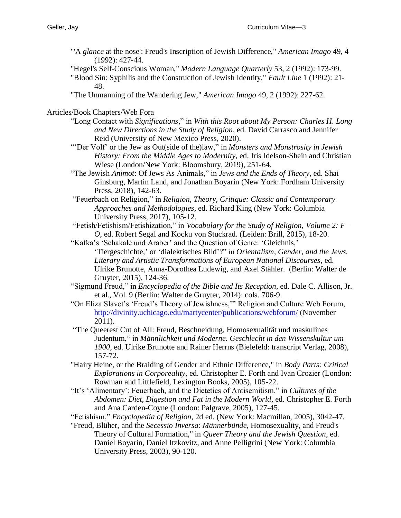"'A *glance* at the nose': Freud's Inscription of Jewish Difference," *American Imago* 49, 4 (1992): 427-44.

"Hegel's Self-Conscious Woman," *Modern Language Quarterly* 53, 2 (1992): 173-99.

"Blood Sin: Syphilis and the Construction of Jewish Identity," *Fault Line* 1 (1992): 21- 48.

"The Unmanning of the Wandering Jew," *American Imago* 49, 2 (1992): 227-62.

#### Articles/Book Chapters/Web Fora

- "Long Contact with *Significations*," in *With this Root about My Person: Charles H. Long and New Directions in the Study of Religion*, ed. David Carrasco and Jennifer Reid (University of New Mexico Press, 2020).
- "'Der Volf' or the Jew as Out(side of the)law," in *Monsters and Monstrosity in Jewish History: From the Middle Ages to Modernity*, ed. Iris Idelson-Shein and Christian Wiese (London/New York: Bloomsbury, 2019), 251-64.
- "The Jewish *Animot*: Of Jews As Animals," in *Jews and the Ends of Theory*, ed. Shai Ginsburg, Martin Land, and Jonathan Boyarin (New York: Fordham University Press, 2018), 142-63.
- "Feuerbach on Religion," in *Religion, Theory, Critique: Classic and Contemporary Approaches and Methodologies*, ed. Richard King (New York: Columbia University Press, 2017), 105-12.
- "Fetish/Fetishism/Fetishization," in *Vocabulary for the Study of Religion*, *Volume 2: F– O*, ed. Robert Segal and Kocku von Stuckrad. (Leiden: Brill, 2015), 18-20.
- "Kafka's 'Schakale und Araber' and the Question of Genre: 'Gleichnis,' 'Tiergeschichte,' or 'dialektisches Bild'?" in *Orientalism, Gender, and the Jews. Literary and Artistic Transformations of European National Discourses*, ed. Ulrike Brunotte, Anna-Dorothea Ludewig, and Axel Stähler. (Berlin: Walter de Gruyter, 2015), 124-36.
- "Sigmund Freud," in *Encyclopedia of the Bible and Its Reception*, ed. Dale C. Allison, Jr. et al., Vol. 9 (Berlin: Walter de Gruyter, 2014): cols. 706-9.
- "On Eliza Slavet's 'Freud's Theory of Jewishness,'" Religion and Culture Web Forum, <http://divinity.uchicago.edu/martycenter/publications/webforum/> (November 2011).
- "The Queerest Cut of All: Freud, Beschneidung, Homosexualität und maskulines Judentum," in *Männlichkeit und Moderne. Geschlecht in den Wissenskultur um 1900*, ed. Ulrike Brunotte and Rainer Herrns (Bielefeld: transcript Verlag, 2008), 157-72.
- "Hairy Heine, or the Braiding of Gender and Ethnic Difference," in *Body Parts: Critical Explorations in Corporeality*, ed. Christopher E. Forth and Ivan Crozier (London: Rowman and Littlefield, Lexington Books, 2005), 105-22.
- "It's 'Alimentary': Feuerbach, and the Dietetics of Antisemitism." in *Cultures of the Abdomen: Diet, Digestion and Fat in the Modern World*, ed. Christopher E. Forth and Ana Carden-Coyne (London: Palgrave, 2005), 127-45.
- "Fetishism," *Encyclopedia of Religion*, 2d ed. (New York: Macmillan, 2005), 3042-47.
- "Freud, Blüher, and the *Secessio Inversa*: *Männerbünde*, Homosexuality, and Freud's Theory of Cultural Formation," in *Queer Theory and the Jewish Question*, ed. Daniel Boyarin, Daniel Itzkovitz, and Anne Pelligrini (New York: Columbia University Press, 2003), 90-120.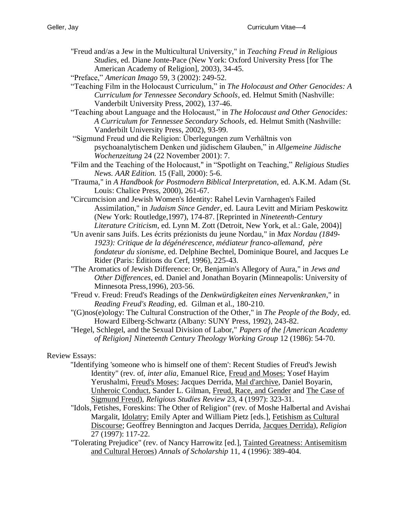- "Freud and/as a Jew in the Multicultural University," in *Teaching Freud in Religious Studies*, ed. Diane Jonte-Pace (New York: Oxford University Press [for The American Academy of Religion], 2003), 34-45.
- "Preface," *American Imago* 59, 3 (2002): 249-52.
- "Teaching Film in the Holocaust Curriculum," in *The Holocaust and Other Genocides: A Curriculum for Tennessee Secondary Schools*, ed. Helmut Smith (Nashville: Vanderbilt University Press, 2002), 137-46.
- "Teaching about Language and the Holocaust," in *The Holocaust and Other Genocides: A Curriculum for Tennessee Secondary Schools*, ed. Helmut Smith (Nashville: Vanderbilt University Press, 2002), 93-99.
- "Sigmund Freud und die Religion: Überlegungen zum Verhältnis von psychoanalytischem Denken und jüdischem Glauben," in *Allgemeine Jüdische Wochenzeitung* 24 (22 November 2001): 7.
- "Film and the Teaching of the Holocaust," in "Spotlight on Teaching," *Religious Studies News. AAR Edition.* 15 (Fall, 2000): 5-6.
- "Trauma," in *A Handbook for Postmodern Biblical Interpretation*, ed. A.K.M. Adam (St. Louis: Chalice Press, 2000), 261-67.
- "Circumcision and Jewish Women's Identity: Rahel Levin Varnhagen's Failed Assimilation," in *Judaism Since Gender*, ed. Laura Levitt and Miriam Peskowitz (New York: Routledge,1997), 174-87. [Reprinted in *Nineteenth-Century Literature Criticism*, ed. Lynn M. Zott (Detroit, New York, et al.: Gale, 2004)]
- "Un avenir sans Juifs. Les écrits prézionists du jeune Nordau," in *Max Nordau (1849- 1923): Critique de la dégénérescence, médiateur franco-allemand, père fondateur du sionisme*, ed. Delphine Bechtel, Dominique Bourel, and Jacques Le Rider (Paris: Éditions du Cerf, 1996), 225-43.
- "The Aromatics of Jewish Difference: Or, Benjamin's Allegory of Aura," in *Jews and Other Differences*, ed. Daniel and Jonathan Boyarin (Minneapolis: University of Minnesota Press,1996), 203-56.
- "Freud v. Freud: Freud's Readings of the *Denkwürdigkeiten eines Nervenkranken*," in *Reading Freud's Reading*, ed. Gilman et al., 180-210.
- "(G)nos(e)ology: The Cultural Construction of the Other," in *The People of the Body*, ed. Howard Eilberg-Schwartz (Albany: SUNY Press, 1992), 243-82.
- "Hegel, Schlegel, and the Sexual Division of Labor," *Papers of the [American Academy of Religion] Nineteenth Century Theology Working Group* 12 (1986): 54-70.

# Review Essays:

- "Identifying 'someone who is himself one of them': Recent Studies of Freud's Jewish Identity" (rev. of, *inter alia*, Emanuel Rice, Freud and Moses; Yosef Hayim Yerushalmi, Freud's Moses; Jacques Derrida, Mal d'archive, Daniel Boyarin, Unheroic Conduct, Sander L. Gilman, Freud, Race, and Gender and The Case of Sigmund Freud), *Religious Studies Review* 23, 4 (1997): 323-31.
- "Idols, Fetishes, Foreskins: The Other of Religion" (rev. of Moshe Halbertal and Avishai Margalit, Idolatry; Emily Apter and William Pietz [eds.], Fetishism as Cultural Discourse; Geoffrey Bennington and Jacques Derrida, Jacques Derrida), *Religion* 27 (1997): 117-22.
- "Tolerating Prejudice" (rev. of Nancy Harrowitz [ed.], Tainted Greatness: Antisemitism and Cultural Heroes) *Annals of Scholarship* 11, 4 (1996): 389-404.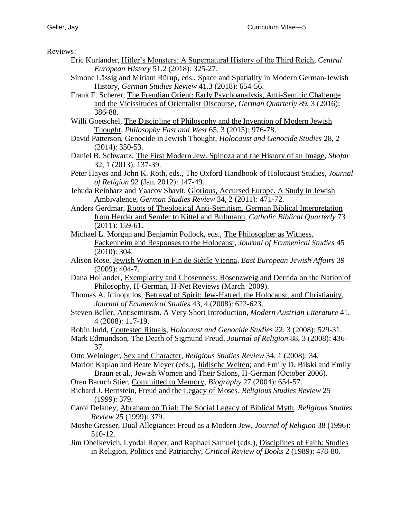Reviews:

- Eric Kurlander, Hitler's Monsters: A Supernatural History of the Third Reich, *Central European History* 51.2 (2018): 325-27.
- Simone Lässig and Miriam Rürup, eds., Space and Spatiality in Modern German-Jewish History, *German Studies Review* 41.3 (2018): 654-56.
- Frank F. Scherer, The Freudian Orient: Early Psychoanalysis, Anti-Semitic Challenge and the Vicissitudes of Orientalist Discourse, *German Quarterly* 89, 3 (2016): 386-88.
- Willi Goetschel, The Discipline of Philosophy and the Invention of Modern Jewish Thought, *Philosophy East and West* 65, 3 (2015): 976-78.
- David Patterson, Genocide in Jewish Thought, *Holocaust and Genocide Studies* 28, 2 (2014): 350-53.
- Daniel B. Schwartz, The First Modern Jew. Spinoza and the History of an Image, *Shofar* 32, 1 (2013): 137-39.
- Peter Hayes and John K. Roth, eds., The Oxford Handbook of Holocaust Studies, *Journal of Religion* 92 (Jan. 2012): 147-49.
- Jehuda Reinharz and Yaacov Shavit, Glorious, Accursed Europe. A Study in Jewish Ambivalence, *German Studies Review* 34, 2 (2011): 471-72.
- Anders Gerdmar, Roots of Theological Anti-Semitism. German Biblical Interpretation from Herder and Semler to Kittel and Bultmann, *Catholic Biblical Quarterly* 73 (2011): 159-61.
- Michael L. Morgan and Benjamin Pollock, eds., The Philosopher as Witness. Fackenheim and Responses to the Holocaust, *Journal of Ecumenical Studies* 45 (2010): 304.
- Alison Rose, Jewish Women in Fin de Siècle Vienna, *East European Jewish Affairs* 39 (2009): 404-7.
- Dana Hollander, Exemplarity and Chosenness: Rosenzweig and Derrida on the Nation of Philosophy, H-German, H-Net Reviews (March 2009).
- Thomas A. Idinopulos, Betrayal of Spirit: Jew-Hatred, the Holocaust, and Christianity, *Journal of Ecumenical Studies* 43, 4 (2008): 622-623.
- Steven Beller, Antisemitism. A Very Short Introduction, *Modern Austrian Literature* 41, 4 (2008): 117-19.
- Robin Judd, Contested Rituals*, Holocaust and Genocide Studies* 22, 3 (2008): 529-31.
- Mark Edmundson, The Death of Sigmund Freud, *Journal of Religion* 88, 3 (2008): 436- 37.
- Otto Weininger, Sex and Character, *Religious Studies Review* 34, 1 (2008): 34.
- Marion Kaplan and Beate Meyer (eds.), Jüdische Welten; and Emily D. Bilski and Emily Braun et al., Jewish Women and Their Salons, H-German (October 2006).
- Oren Baruch Stier, Committed to Memory, *Biography* 27 (2004): 654-57.
- Richard J. Bernstein, Freud and the Legacy of Moses, *Religious Studies Review* 25 (1999): 379.
- Carol Delaney, Abraham on Trial: The Social Legacy of Biblical Myth*, Religious Studies Review* 25 (1999): 379.
- Moshe Gresser, Dual Allegiance: Freud as a Modern Jew, *Journal of Religion* 38 (1996): 510-12.
- Jim Obelkevich, Lyndal Roper, and Raphael Samuel (eds.), Disciplines of Faith: Studies in Religion, Politics and Patriarchy, *Critical Review of Books* 2 (1989): 478-80.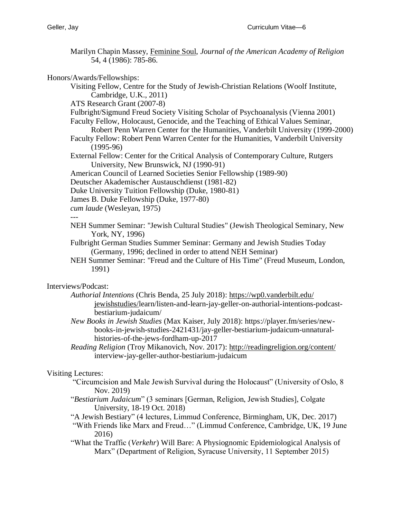Marilyn Chapin Massey, Feminine Soul, *Journal of the American Academy of Religion* 54, 4 (1986): 785-86.

Honors/Awards/Fellowships:

Visiting Fellow, Centre for the Study of Jewish-Christian Relations (Woolf Institute, Cambridge, U.K., 2011)

ATS Research Grant (2007-8)

Fulbright/Sigmund Freud Society Visiting Scholar of Psychoanalysis (Vienna 2001)

- Faculty Fellow, Holocaust, Genocide, and the Teaching of Ethical Values Seminar,
	- Robert Penn Warren Center for the Humanities, Vanderbilt University (1999-2000)
- Faculty Fellow: Robert Penn Warren Center for the Humanities, Vanderbilt University (1995-96)
- External Fellow: Center for the Critical Analysis of Contemporary Culture, Rutgers University, New Brunswick, NJ (1990-91)
- American Council of Learned Societies Senior Fellowship (1989-90)
- Deutscher Akademischer Austauschdienst (1981-82)
- Duke University Tuition Fellowship (Duke, 1980-81)
- James B. Duke Fellowship (Duke, 1977-80)
- *cum laude* (Wesleyan, 1975)

#### ---

- NEH Summer Seminar: "Jewish Cultural Studies" (Jewish Theological Seminary, New York, NY, 1996)
- Fulbright German Studies Summer Seminar: Germany and Jewish Studies Today (Germany, 1996; declined in order to attend NEH Seminar)
- NEH Summer Seminar: "Freud and the Culture of His Time" (Freud Museum, London, 1991)

# Interviews/Podcast:

- *Authorial Intentions* (Chris Benda, 25 July 2018): [https://wp0.vanderbilt.edu/](https://wp0.vanderbilt.edu/%20jewishstudies/)  [jewishstudies/l](https://wp0.vanderbilt.edu/%20jewishstudies/)earn/listen-and-learn-jay-geller-on-authorial-intentions-podcastbestiarium-judaicum/
- *New Books in Jewish Studies* (Max Kaiser, July 2018): https://player.fm/series/newbooks-in-jewish-studies-2421431/jay-geller-bestiarium-judaicum-unnaturalhistories-of-the-jews-fordham-up-2017
- *Reading Religion* (Troy Mikanovich, Nov. 2017):<http://readingreligion.org/content/> interview-jay-geller-author-bestiarium-judaicum

# Visiting Lectures:

- "Circumcision and Male Jewish Survival during the Holocaust" (University of Oslo, 8 Nov. 2019)
- "*Bestiarium Judaicum*" (3 seminars [German, Religion, Jewish Studies], Colgate University, 18-19 Oct. 2018)
- "A Jewish Bestiary" (4 lectures, Limmud Conference, Birmingham, UK, Dec. 2017)
- "With Friends like Marx and Freud…" (Limmud Conference, Cambridge, UK, 19 June 2016)
- "What the Traffic (*Verkehr*) Will Bare: A Physiognomic Epidemiological Analysis of Marx" (Department of Religion, Syracuse University, 11 September 2015)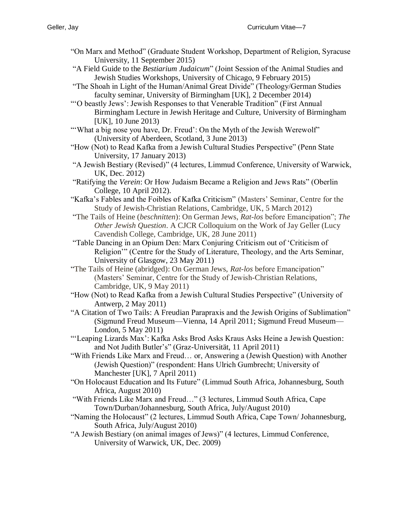- "On Marx and Method" (Graduate Student Workshop, Department of Religion, Syracuse University, 11 September 2015)
- "A Field Guide to the *Bestiarium Judaicum*" (Joint Session of the Animal Studies and Jewish Studies Workshops, University of Chicago, 9 February 2015)
- "The Shoah in Light of the Human/Animal Great Divide" (Theology/German Studies faculty seminar, University of Birmingham [UK], 2 December 2014)
- "'O beastly Jews': Jewish Responses to that Venerable Tradition" (First Annual Birmingham Lecture in Jewish Heritage and Culture, University of Birmingham [UK], 10 June 2013)
- "What a big nose you have, Dr. Freud': On the Myth of the Jewish Werewolf" (University of Aberdeen, Scotland, 3 June 2013)
- "How (Not) to Read Kafka from a Jewish Cultural Studies Perspective" (Penn State University, 17 January 2013)
- "A Jewish Bestiary (Revised)" (4 lectures, Limmud Conference, University of Warwick, UK, Dec. 2012)
- "Ratifying the *Verein*: Or How Judaism Became a Religion and Jews Rats" (Oberlin College, 10 April 2012).
- "Kafka's Fables and the Foibles of Kafka Criticism" (Masters' Seminar, Centre for the Study of Jewish-Christian Relations, Cambridge, UK, 5 March 2012)
- "The Tails of Heine (*beschnitten*): On German Jews, *Rat*-*los* before Emancipation"; *The Other Jewish Question*. A CJCR Colloquium on the Work of Jay Geller (Lucy Cavendish College, Cambridge, UK, 28 June 2011)
- "Table Dancing in an Opium Den: Marx Conjuring Criticism out of 'Criticism of Religion'" (Centre for the Study of Literature, Theology, and the Arts Seminar, University of Glasgow, 23 May 2011)
- "The Tails of Heine (abridged): On German Jews, *Rat*-*los* before Emancipation" (Masters' Seminar, Centre for the Study of Jewish-Christian Relations, Cambridge, UK, 9 May 2011)
- "How (Not) to Read Kafka from a Jewish Cultural Studies Perspective" (University of Antwerp, 2 May 2011)
- "A Citation of Two Tails: A Freudian Parapraxis and the Jewish Origins of Sublimation" (Sigmund Freud Museum—Vienna, 14 April 2011; Sigmund Freud Museum— London, 5 May 2011)
- "'Leaping Lizards Max': Kafka Asks Brod Asks Kraus Asks Heine a Jewish Question: and Not Judith Butler's" (Graz-Universität, 11 April 2011)
- "With Friends Like Marx and Freud… or, Answering a (Jewish Question) with Another (Jewish Question)" (respondent: Hans Ulrich Gumbrecht; University of Manchester [UK], 7 April 2011)
- "On Holocaust Education and Its Future" (Limmud South Africa, Johannesburg, South Africa, August 2010)
- "With Friends Like Marx and Freud…" (3 lectures, Limmud South Africa, Cape Town/Durban/Johannesburg, South Africa, July/August 2010)
- "Naming the Holocaust" (2 lectures, Limmud South Africa, Cape Town/ Johannesburg, South Africa, July/August 2010)
- "A Jewish Bestiary (on animal images of Jews)" (4 lectures, Limmud Conference, University of Warwick, UK, Dec. 2009)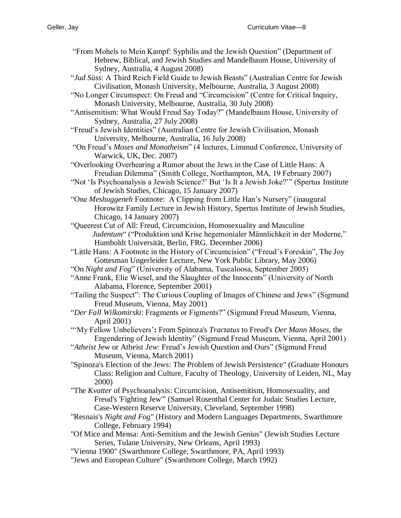- "From Mohels to Mein Kampf: Syphilis and the Jewish Question" (Department of Hebrew, Biblical, and Jewish Studies and Mandelbaum House, University of Sydney, Australia, 4 August 2008)
- "*Jud Süss*: A Third Reich Field Guide to Jewish Beasts" (Australian Centre for Jewish Civilisation, Monash University, Melbourne, Australia, 3 August 2008)
- "No Longer Circumspect: On Freud and "Circumcision" (Centre for Critical Inquiry, Monash University, Melbourne, Australia, 30 July 2008)
- "Antisemitism: What Would Freud Say Today?" (Mandelbaum House, University of Sydney, Australia, 27 July 2008)
- "Freud's Jewish Identities" (Australian Centre for Jewish Civilisation, Monash University, Melbourne, Australia, 16 July 2008)
- "On Freud's *Moses and Monotheism*" (4 lectures, Limmud Conference, University of Warwick, UK, Dec. 2007)
- "Overlooking Overhearing a Rumor about the Jews in the Case of Little Hans: A Freudian Dilemma" (Smith College, Northampton, MA, 19 February 2007)
- "Not 'Is Psychoanalysis a Jewish Science?' But 'Is It a Jewish Joke?'" (Spertus Institute of Jewish Studies, Chicago, 15 January 2007)
- "One *Meshuggeneh* Footnote: A Clipping from Little Han's Nursery" (inaugural Horowitz Family Lecture in Jewish History, Spertus Institute of Jewish Studies, Chicago, 14 January 2007)
- "Queerest Cut of All: Freud, Circumcision, Homosexuality and Masculine *Judentum*" ("Produktion und Krise hegemonialer Männlichkeit in der Moderne," Humboldt Universität, Berlin, FRG. December 2006)
- "Little Hans: A Footnote in the History of Circumcision" ("Freud's Foreskin", The Joy Gottesman Ungerleider Lecture, New York Public Library, May 2006)
- "On *Night and Fog*" (University of Alabama, Tuscaloosa, September 2005)
- "Anne Frank, Elie Wiesel, and the Slaughter of the Innocents" (University of North Alabama, Florence, September 2001)
- "Tailing the Suspect": The Curious Coupling of Images of Chinese and Jews" (Sigmund Freud Museum, Vienna, May 2001)
- "*Der Fall Wilkomirski*: Fragments or Figments?" (Sigmund Freud Museum, Vienna, April 2001)
- "'My Fellow Unbelievers'**:** From Spinoza's *Tractatus* to Freud's *Der Mann Moses*, the Engendering of Jewish Identity" (Sigmund Freud Museum, Vienna, April 2001)
- "*Atheist* Jew or Atheist *Jew*: Freud's Jewish Question and Ours" (Sigmund Freud Museum, Vienna, March 2001)
- "Spinoza's Election of the Jews: The Problem of Jewish Persistence" (Graduate Honours Class: Religion and Culture, Faculty of Theology, University of Leiden, NL, May 2000)
- "The *Kvatter* of Psychoanalysis: Circumcision, Antisemitism, Homosexuality, and Freud's 'Fighting Jew'" (Samuel Rosenthal Center for Judaic Studies Lecture, Case-Western Reserve University, Cleveland, September 1998)
- "Resnais's *Night and Fog*" (History and Modern Languages Departments, Swarthmore College, February 1994)
- "Of Mice and Mensa: Anti-Semitism and the Jewish Genius" (Jewish Studies Lecture Series, Tulane University, New Orleans, April 1993)
- "Vienna 1900" (Swarthmore College, Swarthmore, PA, April 1993)
- "Jews and European Culture" (Swarthmore College, March 1992)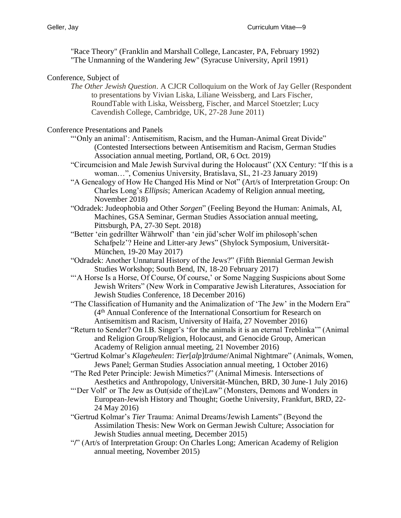"Race Theory" (Franklin and Marshall College, Lancaster, PA, February 1992) "The Unmanning of the Wandering Jew" (Syracuse University, April 1991)

#### Conference, Subject of

*The Other Jewish Question*. A CJCR Colloquium on the Work of Jay Geller (Respondent to presentations by Vivian Liska, Liliane Weissberg, and Lars Fischer, RoundTable with Liska, Weissberg, Fischer, and Marcel Stoetzler; Lucy Cavendish College, Cambridge, UK, 27-28 June 2011)

Conference Presentations and Panels

- "'Only an animal': Antisemitism, Racism, and the Human-Animal Great Divide" (Contested Intersections between Antisemitism and Racism, German Studies Association annual meeting, Portland, OR, 6 Oct. 2019)
- "Circumcision and Male Jewish Survival during the Holocaust" (XX Century: "If this is a woman…", Comenius University, Bratislava, SL, 21-23 January 2019)
- "A Genealogy of How He Changed His Mind or Not" (Art/s of Interpretation Group: On Charles Long's *Ellipsis*; American Academy of Religion annual meeting, November 2018)
- "Odradek: Judeophobia and Other *Sorgen*" (Feeling Beyond the Human: Animals, AI, Machines, GSA Seminar, German Studies Association annual meeting, Pittsburgh, PA, 27-30 Sept. 2018)
- "Better 'ein gedrillter Währwolf' than 'ein jüd'scher Wolf im philosoph'schen Schafpelz'? Heine and Litter-ary Jews" (Shylock Symposium, Universität-München, 19-20 May 2017)
- "Odradek: Another Unnatural History of the Jews?" (Fifth Biennial German Jewish Studies Workshop; South Bend, IN, 18-20 February 2017)
- "'A Horse Is a Horse, Of Course, Of course,' or Some Nagging Suspicions about Some Jewish Writers" (New Work in Comparative Jewish Literatures, Association for Jewish Studies Conference, 18 December 2016)
- "The Classification of Humanity and the Animalization of 'The Jew' in the Modern Era" (4th Annual Conference of the International Consortium for Research on Antisemitism and Racism, University of Haifa, 27 November 2016)
- "Return to Sender? On I.B. Singer's 'for the animals it is an eternal Treblinka'" (Animal and Religion Group/Religion, Holocaust, and Genocide Group, American Academy of Religion annual meeting, 21 November 2016)
- "Gertrud Kolmar's *Klageheulen*: *Tier*[*alp*]*träume*/Animal Nightmare" (Animals, Women, Jews Panel; German Studies Association annual meeting, 1 October 2016)
- "The Red Peter Principle: Jewish Mimetics?" (Animal Mimesis. Intersections of Aesthetics and Anthropology, Universität-München, BRD, 30 June-1 July 2016)
- "Der Volf' or The Jew as Out(side of the)Law" (Monsters, Demons and Wonders in European-Jewish History and Thought; Goethe University, Frankfurt, BRD, 22- 24 May 2016)
- "Gertrud Kolmar's *Tier* Trauma: Animal Dreams/Jewish Laments" (Beyond the Assimilation Thesis: New Work on German Jewish Culture; Association for Jewish Studies annual meeting, December 2015)
- "**/**" (Art/s of Interpretation Group: On Charles Long; American Academy of Religion annual meeting, November 2015)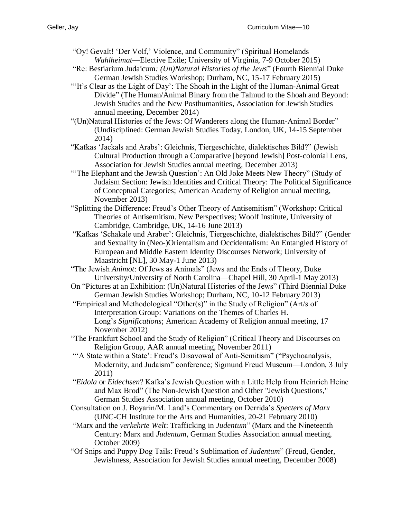- "Oy! Gevalt! 'Der Volf,' Violence, and Community" (Spiritual Homelands— *Wahlheimat*—Elective Exile; University of Virginia, 7-9 October 2015)
- "Re: Bestiarium Judaicum*: (Un)Natural Histories of the Jews*" (Fourth Biennial Duke German Jewish Studies Workshop; Durham, NC, 15-17 February 2015)
- "'It's Clear as the Light of Day': The Shoah in the Light of the Human-Animal Great Divide" (The Human/Animal Binary from the Talmud to the Shoah and Beyond: Jewish Studies and the New Posthumanities, Association for Jewish Studies annual meeting, December 2014)
- "(Un)Natural Histories of the Jews: Of Wanderers along the Human-Animal Border" (Undisciplined: German Jewish Studies Today, London, UK, 14-15 September 2014)
- "Kafkas 'Jackals and Arabs': Gleichnis, Tiergeschichte, dialektisches Bild?" (Jewish Cultural Production through a Comparative [beyond Jewish] Post-colonial Lens, Association for Jewish Studies annual meeting, December 2013)
- "The Elephant and the Jewish Question': An Old Joke Meets New Theory" (Study of Judaism Section: Jewish Identities and Critical Theory: The Political Significance of Conceptual Categories; American Academy of Religion annual meeting, November 2013)
- "Splitting the Difference: Freud's Other Theory of Antisemitism" (Workshop: Critical Theories of Antisemitism. New Perspectives; Woolf Institute, University of Cambridge, Cambridge, UK, 14-16 June 2013)
- "Kafkas 'Schakale und Araber': Gleichnis, Tiergeschichte, dialektisches Bild?" (Gender and Sexuality in (Neo-)Orientalism and Occidentalism: An Entangled History of European and Middle Eastern Identity Discourses Network; University of Maastricht [NL], 30 May-1 June 2013)
- "The Jewish *Animot*: Of Jews as Animals" (Jews and the Ends of Theory, Duke University/University of North Carolina—Chapel Hill, 30 April-1 May 2013)
- On "Pictures at an Exhibition: (Un)Natural Histories of the Jews" (Third Biennial Duke German Jewish Studies Workshop; Durham, NC, 10-12 February 2013)
- "Empirical and Methodological "Other(s)" in the Study of Religion" (Art/s of Interpretation Group: Variations on the Themes of Charles H. Long's *Significations*; American Academy of Religion annual meeting, 17 November 2012)
- "The Frankfurt School and the Study of Religion" (Critical Theory and Discourses on Religion Group, AAR annual meeting, November 2011)
- "'A State within a State': Freud's Disavowal of Anti-Semitism" ("Psychoanalysis, Modernity, and Judaism" conference; Sigmund Freud Museum—London, 3 July 2011)
- "*Eidola* or *Eidechsen*? Kafka's Jewish Question with a Little Help from Heinrich Heine and Max Brod" (The Non-Jewish Question and Other "Jewish Questions," German Studies Association annual meeting, October 2010)
- Consultation on J. Boyarin/M. Land's Commentary on Derrida's *Specters of Marx* (UNC-CH Institute for the Arts and Humanities, 20-21 February 2010)
- "Marx and the *verkehrte Welt*: Trafficking in *Judentum*" (Marx and the Nineteenth Century: Marx and *Judentum*, German Studies Association annual meeting, October 2009)
- "Of Snips and Puppy Dog Tails: Freud's Sublimation of *Judentum*" (Freud, Gender, Jewishness, Association for Jewish Studies annual meeting, December 2008)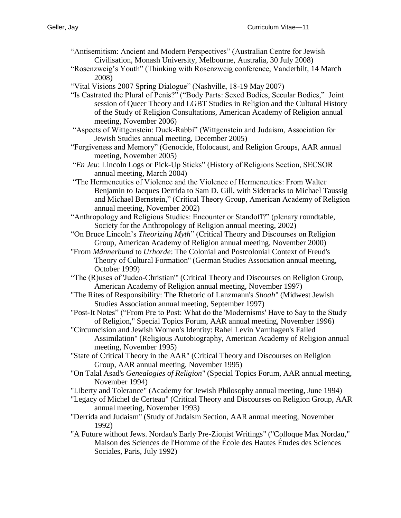- "Antisemitism: Ancient and Modern Perspectives" (Australian Centre for Jewish Civilisation, Monash University, Melbourne, Australia, 30 July 2008)
- "Rosenzweig's Youth" (Thinking with Rosenzweig conference, Vanderbilt, 14 March 2008)
- "Vital Visions 2007 Spring Dialogue" (Nashville, 18-19 May 2007)
- "Is Castrated the Plural of Penis?" ("Body Parts: Sexed Bodies, Secular Bodies," Joint session of Queer Theory and LGBT Studies in Religion and the Cultural History of the Study of Religion Consultations, American Academy of Religion annual meeting, November 2006)
- "Aspects of Wittgenstein: Duck-Rabbi" (Wittgenstein and Judaism, Association for Jewish Studies annual meeting, December 2005)
- "Forgiveness and Memory" (Genocide, Holocaust, and Religion Groups, AAR annual meeting, November 2005)
- "*En Jeu*: Lincoln Logs or Pick-Up Sticks" (History of Religions Section, SECSOR annual meeting, March 2004)
- "The Hermeneutics of Violence and the Violence of Hermeneutics: From Walter Benjamin to Jacques Derrida to Sam D. Gill, with Sidetracks to Michael Taussig and Michael Bernstein," (Critical Theory Group, American Academy of Religion annual meeting, November 2002)
- "Anthropology and Religious Studies: Encounter or Standoff?" (plenary roundtable, Society for the Anthropology of Religion annual meeting, 2002)
- "On Bruce Lincoln's *Theorizing Myth*" (Critical Theory and Discourses on Religion Group, American Academy of Religion annual meeting, November 2000)
- "From *Männerbund* to *Urhorde*: The Colonial and Postcolonial Context of Freud's Theory of Cultural Formation" (German Studies Association annual meeting, October 1999)
- "The (R)uses of 'Judeo-Christian'" (Critical Theory and Discourses on Religion Group, American Academy of Religion annual meeting, November 1997)
- "The Rites of Responsibility: The Rhetoric of Lanzmann's *Shoah*" (Midwest Jewish Studies Association annual meeting, September 1997)
- "Post-It Notes" ("From Pre to Post: What do the 'Modernisms' Have to Say to the Study of Religion," Special Topics Forum, AAR annual meeting, November 1996)
- "Circumcision and Jewish Women's Identity: Rahel Levin Varnhagen's Failed Assimilation" (Religious Autobiography, American Academy of Religion annual meeting, November 1995)
- "State of Critical Theory in the AAR" (Critical Theory and Discourses on Religion Group, AAR annual meeting, November 1995)
- "On Talal Asad's *Genealogies of Religion*" (Special Topics Forum, AAR annual meeting, November 1994)
- "Liberty and Tolerance" (Academy for Jewish Philosophy annual meeting, June 1994)
- "Legacy of Michel de Certeau" (Critical Theory and Discourses on Religion Group, AAR annual meeting, November 1993)
- "Derrida and Judaism" (Study of Judaism Section, AAR annual meeting, November 1992)
- "A Future without Jews. Nordau's Early Pre-Zionist Writings" ("Colloque Max Nordau," Maison des Sciences de l'Homme of the École des Hautes Études des Sciences Sociales, Paris, July 1992)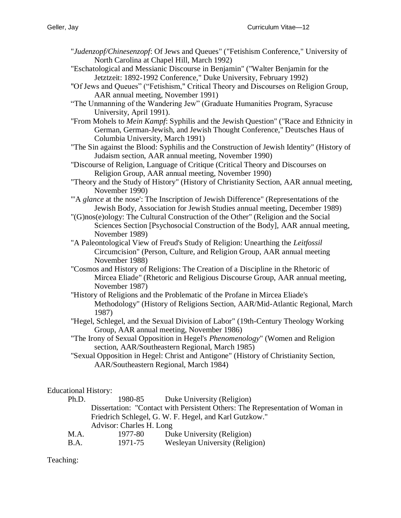- "*Judenzopf/Chinesenzopf*: Of Jews and Queues" ("Fetishism Conference," University of North Carolina at Chapel Hill, March 1992)
- "Eschatological and Messianic Discourse in Benjamin" ("Walter Benjamin for the Jetztzeit: 1892-1992 Conference," Duke University, February 1992)
- "Of Jews and Queues" ("Fetishism," Critical Theory and Discourses on Religion Group, AAR annual meeting, November 1991)
- "The Unmanning of the Wandering Jew" (Graduate Humanities Program, Syracuse University, April 1991).
- "From Mohels to *Mein Kampf*: Syphilis and the Jewish Question" ("Race and Ethnicity in German, German-Jewish, and Jewish Thought Conference," Deutsches Haus of Columbia University, March 1991)
- "The Sin against the Blood: Syphilis and the Construction of Jewish Identity" (History of Judaism section, AAR annual meeting, November 1990)
- "Discourse of Religion, Language of Critique (Critical Theory and Discourses on Religion Group, AAR annual meeting, November 1990)
- "Theory and the Study of History" (History of Christianity Section, AAR annual meeting, November 1990)
- "'A *glance* at the nose': The Inscription of Jewish Difference" (Representations of the Jewish Body, Association for Jewish Studies annual meeting, December 1989)
- "(G)nos(e)ology: The Cultural Construction of the Other" (Religion and the Social Sciences Section [Psychosocial Construction of the Body], AAR annual meeting, November 1989)
- "A Paleontological View of Freud's Study of Religion: Unearthing the *Leitfossil* Circumcision" (Person, Culture, and Religion Group, AAR annual meeting November 1988)
- "Cosmos and History of Religions: The Creation of a Discipline in the Rhetoric of Mircea Eliade" (Rhetoric and Religious Discourse Group, AAR annual meeting, November 1987)
- "History of Religions and the Problematic of the Profane in Mircea Eliade's Methodology" (History of Religions Section, AAR/Mid-Atlantic Regional, March 1987)
- "Hegel, Schlegel, and the Sexual Division of Labor" (19th-Century Theology Working Group, AAR annual meeting, November 1986)
- "The Irony of Sexual Opposition in Hegel's *Phenomenology*" (Women and Religion section, AAR/Southeastern Regional, March 1985)
- "Sexual Opposition in Hegel: Christ and Antigone" (History of Christianity Section, AAR/Southeastern Regional, March 1984)

# Educational History:

| Ph.D. | 1980-85                                                | Duke University (Religion)                                                    |  |  |
|-------|--------------------------------------------------------|-------------------------------------------------------------------------------|--|--|
|       |                                                        | Dissertation: "Contact with Persistent Others: The Representation of Woman in |  |  |
|       | Friedrich Schlegel, G. W. F. Hegel, and Karl Gutzkow." |                                                                               |  |  |
|       | Advisor: Charles H. Long                               |                                                                               |  |  |
| M.A.  | 1977-80                                                | Duke University (Religion)                                                    |  |  |
| B.A.  | 1971-75                                                | <b>Wesleyan University (Religion)</b>                                         |  |  |
|       |                                                        |                                                                               |  |  |

Teaching: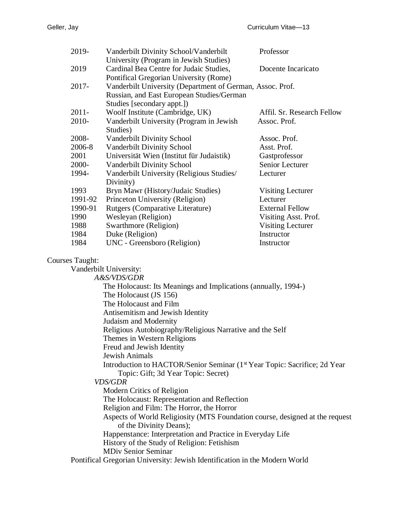| 2019-                                                                                                                        |                                                                    | Vanderbilt Divinity School/Vanderbilt     | Professor                  |  |  |
|------------------------------------------------------------------------------------------------------------------------------|--------------------------------------------------------------------|-------------------------------------------|----------------------------|--|--|
|                                                                                                                              |                                                                    | University (Program in Jewish Studies)    |                            |  |  |
| 2019                                                                                                                         |                                                                    | Cardinal Bea Centre for Judaic Studies,   | Docente Incaricato         |  |  |
|                                                                                                                              |                                                                    | Pontifical Gregorian University (Rome)    |                            |  |  |
|                                                                                                                              | 2017-<br>Vanderbilt University (Department of German, Assoc. Prof. |                                           |                            |  |  |
|                                                                                                                              | Russian, and East European Studies/German                          |                                           |                            |  |  |
|                                                                                                                              |                                                                    | Studies [secondary appt.])                |                            |  |  |
| $2011 -$                                                                                                                     |                                                                    | Woolf Institute (Cambridge, UK)           | Affil. Sr. Research Fellow |  |  |
| 2010-                                                                                                                        |                                                                    | Vanderbilt University (Program in Jewish  | Assoc. Prof.               |  |  |
|                                                                                                                              | Studies)                                                           |                                           |                            |  |  |
| 2008-                                                                                                                        |                                                                    | Vanderbilt Divinity School                | Assoc. Prof.               |  |  |
| 2006-8                                                                                                                       |                                                                    | Vanderbilt Divinity School                | Asst. Prof.                |  |  |
| 2001                                                                                                                         |                                                                    | Universität Wien (Institut für Judaistik) | Gastprofessor              |  |  |
| 2000-                                                                                                                        |                                                                    | Vanderbilt Divinity School                | Senior Lecturer            |  |  |
| 1994-                                                                                                                        |                                                                    | Vanderbilt University (Religious Studies/ | Lecturer                   |  |  |
|                                                                                                                              |                                                                    | Divinity)                                 |                            |  |  |
| 1993                                                                                                                         |                                                                    | Bryn Mawr (History/Judaic Studies)        | <b>Visiting Lecturer</b>   |  |  |
|                                                                                                                              | 1991-92                                                            | Princeton University (Religion)           | Lecturer                   |  |  |
|                                                                                                                              | 1990-91                                                            | Rutgers (Comparative Literature)          | <b>External Fellow</b>     |  |  |
| 1990                                                                                                                         |                                                                    | Wesleyan (Religion)                       | Visiting Asst. Prof.       |  |  |
| 1988                                                                                                                         |                                                                    | Swarthmore (Religion)                     | <b>Visiting Lecturer</b>   |  |  |
| 1984                                                                                                                         |                                                                    | Duke (Religion)                           | Instructor                 |  |  |
| 1984                                                                                                                         |                                                                    | UNC - Greensboro (Religion)               | Instructor                 |  |  |
|                                                                                                                              |                                                                    |                                           |                            |  |  |
| <b>Courses Taught:</b>                                                                                                       |                                                                    |                                           |                            |  |  |
| Vanderbilt University:<br>A&S/VDS/GDR                                                                                        |                                                                    |                                           |                            |  |  |
|                                                                                                                              |                                                                    |                                           |                            |  |  |
| The Holocaust: Its Meanings and Implications (annually, 1994-)<br>The Holocaust (JS 156)                                     |                                                                    |                                           |                            |  |  |
| The Holocaust and Film                                                                                                       |                                                                    |                                           |                            |  |  |
|                                                                                                                              |                                                                    |                                           |                            |  |  |
| Antisemitism and Jewish Identity                                                                                             |                                                                    |                                           |                            |  |  |
| Judaism and Modernity                                                                                                        |                                                                    |                                           |                            |  |  |
| Religious Autobiography/Religious Narrative and the Self                                                                     |                                                                    |                                           |                            |  |  |
| Themes in Western Religions                                                                                                  |                                                                    |                                           |                            |  |  |
| Freud and Jewish Identity<br>Jewish Animals                                                                                  |                                                                    |                                           |                            |  |  |
|                                                                                                                              |                                                                    |                                           |                            |  |  |
| Introduction to HACTOR/Senior Seminar (1 <sup>st</sup> Year Topic: Sacrifice; 2d Year<br>Topic: Gift; 3d Year Topic: Secret) |                                                                    |                                           |                            |  |  |
| <i>VDS/GDR</i>                                                                                                               |                                                                    |                                           |                            |  |  |
| Modern Critics of Religion                                                                                                   |                                                                    |                                           |                            |  |  |
| The Holocaust: Representation and Reflection                                                                                 |                                                                    |                                           |                            |  |  |
| Religion and Film: The Horror, the Horror                                                                                    |                                                                    |                                           |                            |  |  |
| Aspects of World Religiosity (MTS Foundation course, designed at the request                                                 |                                                                    |                                           |                            |  |  |
| of the Divinity Deans);                                                                                                      |                                                                    |                                           |                            |  |  |
| Happenstance: Interpretation and Practice in Everyday Life                                                                   |                                                                    |                                           |                            |  |  |
| History of the Study of Religion: Fetishism                                                                                  |                                                                    |                                           |                            |  |  |
|                                                                                                                              |                                                                    |                                           |                            |  |  |

MDiv Senior Seminar

Pontifical Gregorian University: Jewish Identification in the Modern World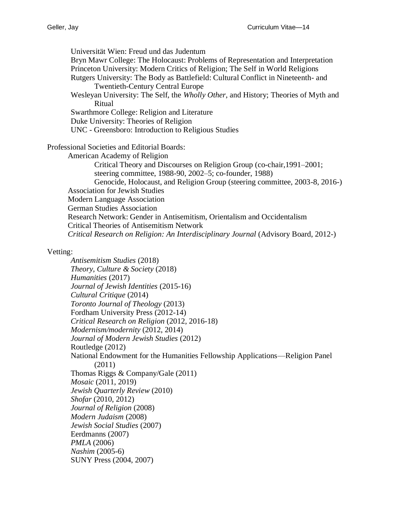Universität Wien: Freud und das Judentum Bryn Mawr College: The Holocaust: Problems of Representation and Interpretation Princeton University: Modern Critics of Religion; The Self in World Religions Rutgers University: The Body as Battlefield: Cultural Conflict in Nineteenth- and Twentieth-Century Central Europe Wesleyan University: The Self, the *Wholly Other*, and History; Theories of Myth and Ritual Swarthmore College: Religion and Literature Duke University: Theories of Religion UNC - Greensboro: Introduction to Religious Studies Professional Societies and Editorial Boards: American Academy of Religion Critical Theory and Discourses on Religion Group (co-chair,1991–2001; steering committee, 1988-90, 2002–5; co-founder, 1988) Genocide, Holocaust, and Religion Group (steering committee, 2003-8, 2016-) Association for Jewish Studies Modern Language Association German Studies Association Research Network: Gender in Antisemitism, Orientalism and Occidentalism Critical Theories of Antisemitism Network *Critical Research on Religion: An Interdisciplinary Journal* (Advisory Board, 2012-)

#### Vetting:

*Antisemitism Studies* (2018) *Theory, Culture & Society* (2018) *Humanities* (2017) *Journal of Jewish Identities* (2015-16) *Cultural Critique* (2014) *Toronto Journal of Theology* (2013) Fordham University Press (2012-14) *Critical Research on Religion* (2012, 2016-18) *Modernism/modernity* (2012, 2014) *Journal of Modern Jewish Studies* (2012) Routledge (2012) National Endowment for the Humanities Fellowship Applications—Religion Panel (2011) Thomas Riggs & Company/Gale (2011) *Mosaic* (2011, 2019) *Jewish Quarterly Review* (2010) *Shofar* (2010, 2012) *Journal of Religion* (2008) *Modern Judaism* (2008) *Jewish Social Studies* (2007) Eerdmanns (2007) *PMLA* (2006) *Nashim* (2005-6) SUNY Press (2004, 2007)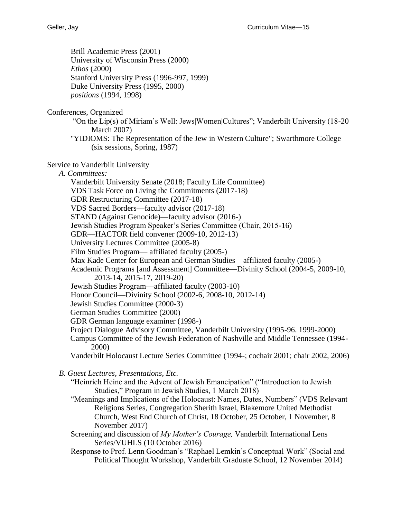Brill Academic Press (2001) University of Wisconsin Press (2000) *Ethos* (2000) Stanford University Press (1996-997, 1999) Duke University Press (1995, 2000) *positions* (1994, 1998)

Conferences, Organized

"On the Lip(s) of Miriam's Well: Jews|Women|Cultures"; Vanderbilt University (18-20 March 2007)

"YIDIOMS: The Representation of the Jew in Western Culture"; Swarthmore College (six sessions, Spring, 1987)

Service to Vanderbilt University

*A. Committees:*

Vanderbilt University Senate (2018; Faculty Life Committee)

VDS Task Force on Living the Commitments (2017-18)

GDR Restructuring Committee (2017-18)

VDS Sacred Borders—faculty advisor (2017-18)

STAND (Against Genocide)—faculty advisor (2016-)

Jewish Studies Program Speaker's Series Committee (Chair, 2015-16)

GDR—HACTOR field convener (2009-10, 2012-13)

University Lectures Committee (2005-8)

Film Studies Program— affiliated faculty (2005-)

Max Kade Center for European and German Studies—affiliated faculty (2005-)

Academic Programs [and Assessment] Committee—Divinity School (2004-5, 2009-10, 2013-14, 2015-17, 2019-20)

Jewish Studies Program—affiliated faculty (2003-10)

Honor Council—Divinity School (2002-6, 2008-10, 2012-14)

Jewish Studies Committee (2000-3)

German Studies Committee (2000)

GDR German language examiner (1998-)

Project Dialogue Advisory Committee, Vanderbilt University (1995-96. 1999-2000)

Campus Committee of the Jewish Federation of Nashville and Middle Tennessee (1994- 2000)

Vanderbilt Holocaust Lecture Series Committee (1994-; cochair 2001; chair 2002, 2006)

*B. Guest Lectures, Presentations, Etc.*

"Heinrich Heine and the Advent of Jewish Emancipation" ("Introduction to Jewish Studies," Program in Jewish Studies, 1 March 2018)

"Meanings and Implications of the Holocaust: Names, Dates, Numbers" (VDS Relevant Religions Series, Congregation Sherith Israel, Blakemore United Methodist Church, West End Church of Christ, 18 October, 25 October, 1 November, 8 November 2017)

Screening and discussion of *My Mother's Courage,* Vanderbilt International Lens Series/VUHLS (10 October 2016)

Response to Prof. Lenn Goodman's "Raphael Lemkin's Conceptual Work" (Social and Political Thought Workshop, Vanderbilt Graduate School, 12 November 2014)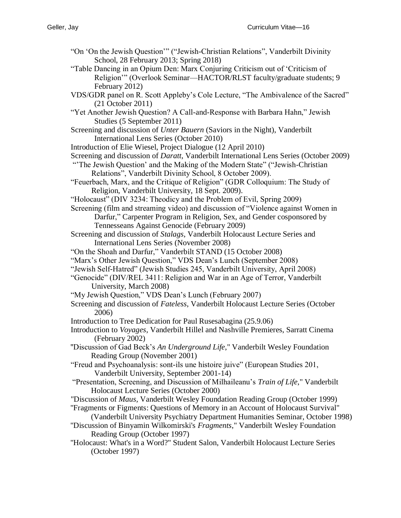- "On 'On the Jewish Question'" ("Jewish-Christian Relations", Vanderbilt Divinity School, 28 February 2013; Spring 2018)
- "Table Dancing in an Opium Den: Marx Conjuring Criticism out of 'Criticism of Religion'" (Overlook Seminar—HACTOR/RLST faculty/graduate students; 9 February 2012)
- VDS/GDR panel on R. Scott Appleby's Cole Lecture, "The Ambivalence of the Sacred" (21 October 2011)
- "Yet Another Jewish Question? A Call-and-Response with Barbara Hahn," Jewish Studies (5 September 2011)
- Screening and discussion of *Unter Bauern* (Saviors in the Night), Vanderbilt International Lens Series (October 2010)
- Introduction of Elie Wiesel, Project Dialogue (12 April 2010)
- Screening and discussion of *Daratt*, Vanderbilt International Lens Series (October 2009)
- "'The Jewish Question' and the Making of the Modern State" ("Jewish-Christian Relations", Vanderbilt Divinity School, 8 October 2009).
- "Feuerbach, Marx, and the Critique of Religion" (GDR Colloquium: The Study of Religion, Vanderbilt University, 18 Sept. 2009).
- "Holocaust" (DIV 3234: Theodicy and the Problem of Evil, Spring 2009)

Screening (film and streaming video) and discussion of "Violence against Women in Darfur," Carpenter Program in Religion, Sex, and Gender cosponsored by

- Tennesseans Against Genocide (February 2009)
- Screening and discussion of *Stalags*, Vanderbilt Holocaust Lecture Series and International Lens Series (November 2008)
- "On the Shoah and Darfur," Vanderbilt STAND (15 October 2008)
- "Marx's Other Jewish Question," VDS Dean's Lunch (September 2008)
- "Jewish Self-Hatred" (Jewish Studies 245, Vanderbilt University, April 2008)
- "Genocide" (DIV/REL 3411: Religion and War in an Age of Terror, Vanderbilt University, March 2008)
- "My Jewish Question," VDS Dean's Lunch (February 2007)
- Screening and discussion of *Fateless*, Vanderbilt Holocaust Lecture Series (October 2006)
- Introduction to Tree Dedication for Paul Rusesabagina (25.9.06)
- Introduction to *Voyages*, Vanderbilt Hillel and Nashville Premieres, Sarratt Cinema (February 2002)
- "Discussion of Gad Beck's *An Underground Life*," Vanderbilt Wesley Foundation Reading Group (November 2001)
- "Freud and Psychoanalysis: sont-ils une histoire juive" (European Studies 201, Vanderbilt University, September 2001-14)
- "Presentation, Screening, and Discussion of Milhaileanu's *Train of Life*," Vanderbilt Holocaust Lecture Series (October 2000)
- "Discussion of *Maus,* Vanderbilt Wesley Foundation Reading Group (October 1999)
- "Fragments or Figments: Questions of Memory in an Account of Holocaust Survival" (Vanderbilt University Psychiatry Department Humanities Seminar, October 1998)
- "Discussion of Binyamin Wilkomirski's *Fragments*," Vanderbilt Wesley Foundation Reading Group (October 1997)
- "Holocaust: What's in a Word?" Student Salon, Vanderbilt Holocaust Lecture Series (October 1997)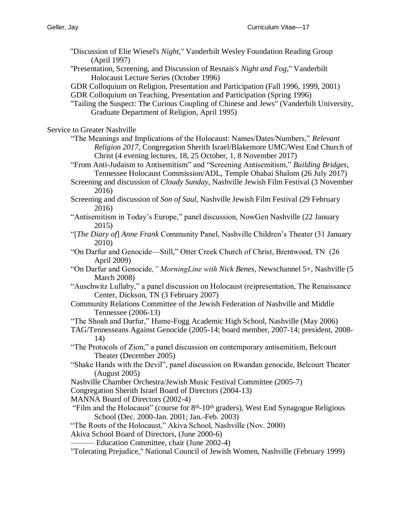- "Discussion of Elie Wiesel's *Night*," Vanderbilt Wesley Foundation Reading Group (April 1997)
- "Presentation, Screening, and Discussion of Resnais's *Night and Fog*," Vanderbilt Holocaust Lecture Series (October 1996)
- GDR Colloquium on Religion, Presentation and Participation (Fall 1996, 1999, 2001)
- GDR Colloquium on Teaching, Presentation and Participation (Spring 1996)
- "Tailing the Suspect: The Curious Coupling of Chinese and Jews" (Vanderbilt University, Graduate Department of Religion, April 1995)

Service to Greater Nashville

- "The Meanings and Implications of the Holocaust: Names/Dates/Numbers," *Relevant Religion 2017*, Congregation Sherith Israel/Blakemore UMC/West End Church of Christ (4 evening lectures, 18, 25 October, 1, 8 November 2017)
- "From Anti-Judaism to Antisemitism" and "Screening Antisemitism," *Building Bridges*, Tennessee Holocaust Commission/ADL, Temple Ohabai Shalom (26 July 2017)
- Screening and discussion of *Cloudy Sunday*, Nashville Jewish Film Festival (3 November 2016)
- Screening and discussion of *Son of Saul*, Nashville Jewish Film Festival (29 February 2016)
- "Antisemitism in Today's Europe," panel discussion, NowGen Nashville (22 January 2015)
- "[*The Diary of*] *Anne Frank* Community Panel, Nashville Children's Theater (31 January 2010)
- "On Darfur and Genocide—Still," Otter Creek Church of Christ, Brentwood, TN (26 April 2009)
- "On Darfur and Genocide*," MorningLine with Nick Benes*, Newschannel 5+, Nashville (5 March 2008)
- "Auschwitz Lullaby," a panel discussion on Holocaust (re)presentation, The Renaissance Center, Dickson, TN (3 February 2007)
- Community Relations Committee of the Jewish Federation of Nashville and Middle Tennessee (2006-13)
- "The Shoah and Darfur," Hume-Fogg Academic High School, Nashville (May 2006)
- TAG/Tennesseans Against Genocide (2005-14; board member, 2007-14; president, 2008- 14)
- "The Protocols of Zion," a panel discussion on contemporary antisemitism, Belcourt Theater (December 2005)
- "Shake Hands with the Devil", panel discussion on Rwandan genocide, Belcourt Theater (August 2005)
- Nashville Chamber Orchestra/Jewish Music Festival Committee (2005-7)
- Congregation Sherith Israel Board of Directors (2004-13)
- MANNA Board of Directors (2002-4)
- "Film and the Holocaust" (course for  $8<sup>th</sup>$ -10<sup>th</sup> graders), West End Synagogue Religious School (Dec. 2000-Jan. 2001; Jan.-Feb. 2003)

"The Roots of the Holocaust," Akiva School, Nashville (Nov. 2000)

Akiva School Board of Directors, (June 2000-6)

— Education Committee, chair (June 2002-4)

"Tolerating Prejudice," National Council of Jewish Women, Nashville (February 1999)